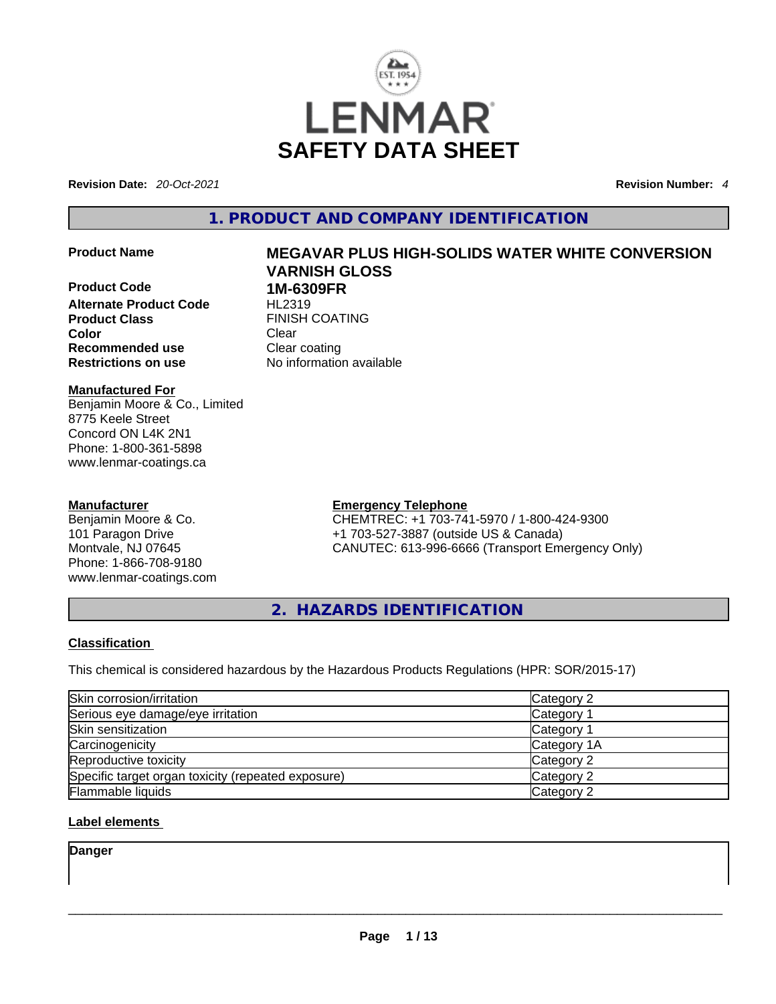

**Revision Date:** *20-Oct-2021* **Revision Number:** *4*

**1. PRODUCT AND COMPANY IDENTIFICATION** 

**Product Code 1M-6309FR Alternate Product Code** HL2319 **Product Class FINISH COATING Color Clear Clear Recommended use Clear coating<br>
<b>Restrictions on use** No information

#### **Manufactured For** Benjamin Moore & Co., Limited 8775 Keele Street Concord ON L4K 2N1 Phone: 1-800-361-5898 www.lenmar-coatings.ca

# **Manufacturer**

Benjamin Moore & Co. 101 Paragon Drive Montvale, NJ 07645 Phone: 1-866-708-9180 www.lenmar-coatings.com

# **Product Name MEGAVAR PLUS HIGH-SOLIDS WATER WHITE CONVERSION VARNISH GLOSS**

**Restrictions on use** No information available

**Emergency Telephone** CHEMTREC: +1 703-741-5970 / 1-800-424-9300 +1 703-527-3887 (outside US & Canada) CANUTEC: 613-996-6666 (Transport Emergency Only)

**2. HAZARDS IDENTIFICATION** 

#### **Classification**

This chemical is considered hazardous by the Hazardous Products Regulations (HPR: SOR/2015-17)

| Skin corrosion/irritation                          | Category 2  |
|----------------------------------------------------|-------------|
| Serious eye damage/eye irritation                  | Category 1  |
| Skin sensitization                                 | Category 1  |
| Carcinogenicity                                    | Category 1A |
| Reproductive toxicity                              | Category 2  |
| Specific target organ toxicity (repeated exposure) | Category 2  |
| <b>Flammable liquids</b>                           | Category 2  |

# **Label elements**

**Danger**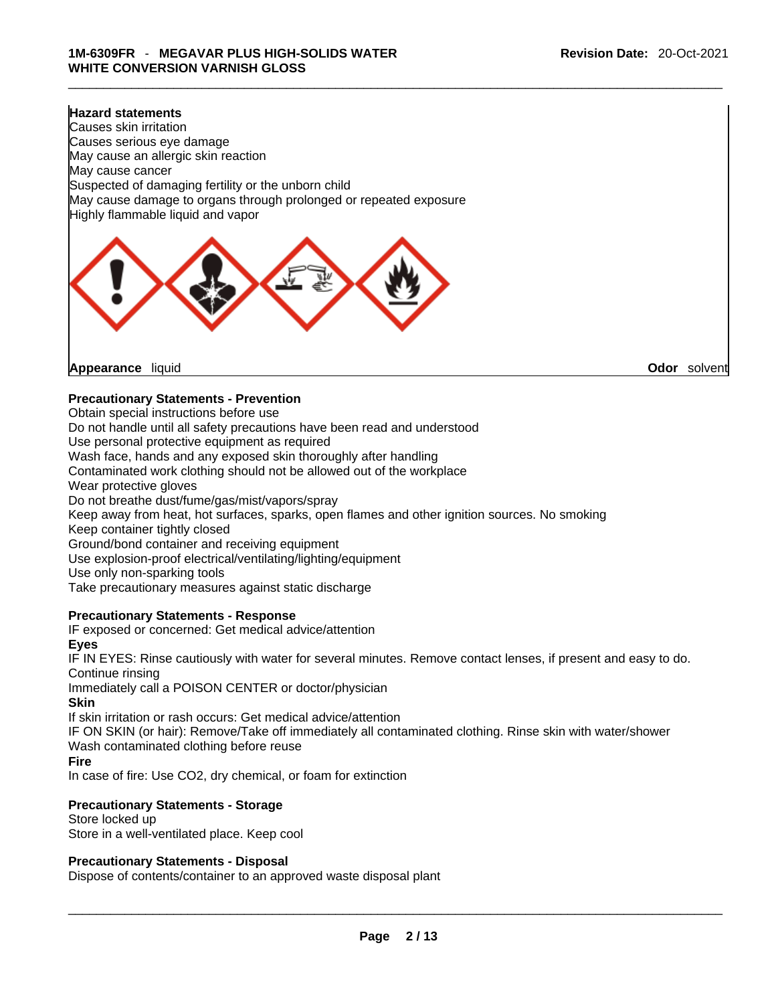#### **Hazard statements**

Causes skin irritation Causes serious eye damage May cause an allergic skin reaction May cause cancer Suspected of damaging fertility or the unborn child May cause damage to organs through prolonged or repeated exposure Highly flammable liquid and vapor



**Appearance** liquid **Odor** *Solvent* **Appearance** liquid **Odor Odor Odor Odor Odor Odor Odor Odor Odor Odor Odor Odor Odor Odor Odor Odor Odor Odor Odor Odor Odor Odor Odor Odor** 

#### **Precautionary Statements - Prevention**

Obtain special instructions before use

Do not handle until all safety precautions have been read and understood

Use personal protective equipment as required

Wash face, hands and any exposed skin thoroughly after handling

Contaminated work clothing should not be allowed out of the workplace

Wear protective gloves

Do not breathe dust/fume/gas/mist/vapors/spray

Keep away from heat, hot surfaces, sparks, open flames and other ignition sources. No smoking

Keep container tightly closed

Ground/bond container and receiving equipment

Use explosion-proof electrical/ventilating/lighting/equipment

Use only non-sparking tools

Take precautionary measures against static discharge

#### **Precautionary Statements - Response**

IF exposed or concerned: Get medical advice/attention

#### **Eyes**

IF IN EYES: Rinse cautiously with water forseveral minutes. Remove contact lenses, if present and easy to do. Continue rinsing

Immediately call a POISON CENTER or doctor/physician

#### **Skin**

If skin irritation or rash occurs: Get medical advice/attention

IF ON SKIN (or hair): Remove/Take off immediately all contaminated clothing. Rinse skin with water/shower Wash contaminated clothing before reuse

#### **Fire**

In case of fire: Use CO2, dry chemical, or foam for extinction

#### **Precautionary Statements - Storage**

Store locked up Store in a well-ventilated place. Keep cool

#### **Precautionary Statements - Disposal**

Dispose of contents/container to an approved waste disposal plant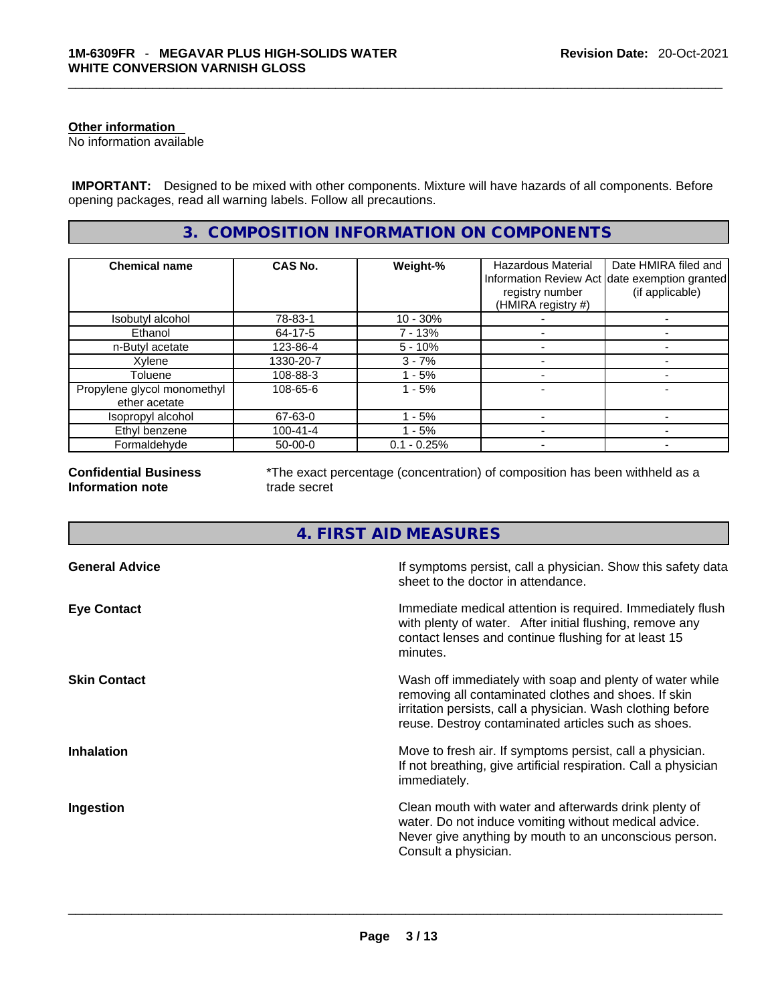#### **Other information**

No information available

 **IMPORTANT:** Designed to be mixed with other components. Mixture will have hazards of all components. Before opening packages, read all warning labels. Follow all precautions.

# **3. COMPOSITION INFORMATION ON COMPONENTS**

| <b>Chemical name</b>                         | <b>CAS No.</b> | Weight-%      | <b>Hazardous Material</b><br>registry number<br>(HMIRA registry #) | Date HMIRA filed and<br>Information Review Act date exemption granted<br>(if applicable) |
|----------------------------------------------|----------------|---------------|--------------------------------------------------------------------|------------------------------------------------------------------------------------------|
| Isobutyl alcohol                             | 78-83-1        | $10 - 30%$    |                                                                    |                                                                                          |
| Ethanol                                      | 64-17-5        | 7 - 13%       |                                                                    |                                                                                          |
| n-Butyl acetate                              | 123-86-4       | $5 - 10%$     |                                                                    |                                                                                          |
| Xylene                                       | 1330-20-7      | $3 - 7%$      |                                                                    |                                                                                          |
| Toluene                                      | 108-88-3       | $-5%$         |                                                                    |                                                                                          |
| Propylene glycol monomethyl<br>ether acetate | 108-65-6       | $-5%$         |                                                                    |                                                                                          |
| Isopropyl alcohol                            | 67-63-0        | 1 - 5%        |                                                                    |                                                                                          |
| Ethyl benzene                                | $100 - 41 - 4$ | - 5%          |                                                                    |                                                                                          |
| Formaldehyde                                 | $50-00-0$      | $0.1 - 0.25%$ |                                                                    |                                                                                          |

**Confidential Business Information note**

\*The exact percentage (concentration) of composition has been withheld as a trade secret

# **4. FIRST AID MEASURES**

| <b>General Advice</b> | If symptoms persist, call a physician. Show this safety data<br>sheet to the doctor in attendance.                                                                                                                                     |
|-----------------------|----------------------------------------------------------------------------------------------------------------------------------------------------------------------------------------------------------------------------------------|
| <b>Eye Contact</b>    | Immediate medical attention is required. Immediately flush<br>with plenty of water. After initial flushing, remove any<br>contact lenses and continue flushing for at least 15<br>minutes.                                             |
| <b>Skin Contact</b>   | Wash off immediately with soap and plenty of water while<br>removing all contaminated clothes and shoes. If skin<br>irritation persists, call a physician. Wash clothing before<br>reuse. Destroy contaminated articles such as shoes. |
| <b>Inhalation</b>     | Move to fresh air. If symptoms persist, call a physician.<br>If not breathing, give artificial respiration. Call a physician<br>immediately.                                                                                           |
| <b>Ingestion</b>      | Clean mouth with water and afterwards drink plenty of<br>water. Do not induce vomiting without medical advice.<br>Never give anything by mouth to an unconscious person.<br>Consult a physician.                                       |
|                       |                                                                                                                                                                                                                                        |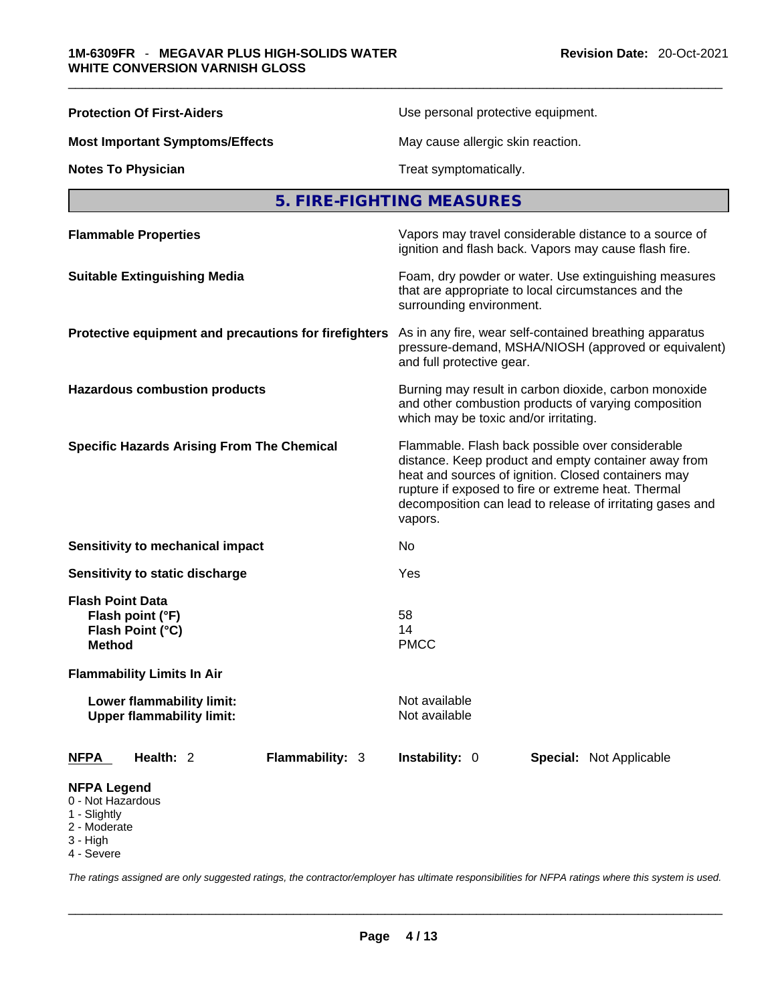| <b>Protection Of First-Aiders</b>                                         | Use personal protective equipment.                                                                                                                                                                                                                                                             |  |  |
|---------------------------------------------------------------------------|------------------------------------------------------------------------------------------------------------------------------------------------------------------------------------------------------------------------------------------------------------------------------------------------|--|--|
| <b>Most Important Symptoms/Effects</b>                                    | May cause allergic skin reaction.                                                                                                                                                                                                                                                              |  |  |
| <b>Notes To Physician</b>                                                 | Treat symptomatically.                                                                                                                                                                                                                                                                         |  |  |
|                                                                           | 5. FIRE-FIGHTING MEASURES                                                                                                                                                                                                                                                                      |  |  |
| <b>Flammable Properties</b>                                               | Vapors may travel considerable distance to a source of<br>ignition and flash back. Vapors may cause flash fire.                                                                                                                                                                                |  |  |
| <b>Suitable Extinguishing Media</b>                                       | Foam, dry powder or water. Use extinguishing measures<br>that are appropriate to local circumstances and the<br>surrounding environment.                                                                                                                                                       |  |  |
| Protective equipment and precautions for firefighters                     | As in any fire, wear self-contained breathing apparatus<br>pressure-demand, MSHA/NIOSH (approved or equivalent)<br>and full protective gear.                                                                                                                                                   |  |  |
| <b>Hazardous combustion products</b>                                      | Burning may result in carbon dioxide, carbon monoxide<br>and other combustion products of varying composition<br>which may be toxic and/or irritating.                                                                                                                                         |  |  |
| <b>Specific Hazards Arising From The Chemical</b>                         | Flammable. Flash back possible over considerable<br>distance. Keep product and empty container away from<br>heat and sources of ignition. Closed containers may<br>rupture if exposed to fire or extreme heat. Thermal<br>decomposition can lead to release of irritating gases and<br>vapors. |  |  |
| <b>Sensitivity to mechanical impact</b>                                   | No                                                                                                                                                                                                                                                                                             |  |  |
| Sensitivity to static discharge                                           | Yes                                                                                                                                                                                                                                                                                            |  |  |
| <b>Flash Point Data</b><br>Flash point (°F)<br>Flash Point (°C)<br>Method | 58<br>14<br><b>PMCC</b>                                                                                                                                                                                                                                                                        |  |  |
| <b>Flammability Limits In Air</b>                                         |                                                                                                                                                                                                                                                                                                |  |  |
| Lower flammability limit:<br><b>Upper flammability limit:</b>             | Not available<br>Not available                                                                                                                                                                                                                                                                 |  |  |
| Health: 2<br><b>Flammability: 3</b><br><u>NFPA</u>                        | Instability: 0<br><b>Special: Not Applicable</b>                                                                                                                                                                                                                                               |  |  |
| <b>NFPA Legend</b><br>0 - Not Hazardous<br>1 - Slightly                   |                                                                                                                                                                                                                                                                                                |  |  |

- 
- 2 Moderate
- 3 High
- 4 Severe

*The ratings assigned are only suggested ratings, the contractor/employer has ultimate responsibilities for NFPA ratings where this system is used.*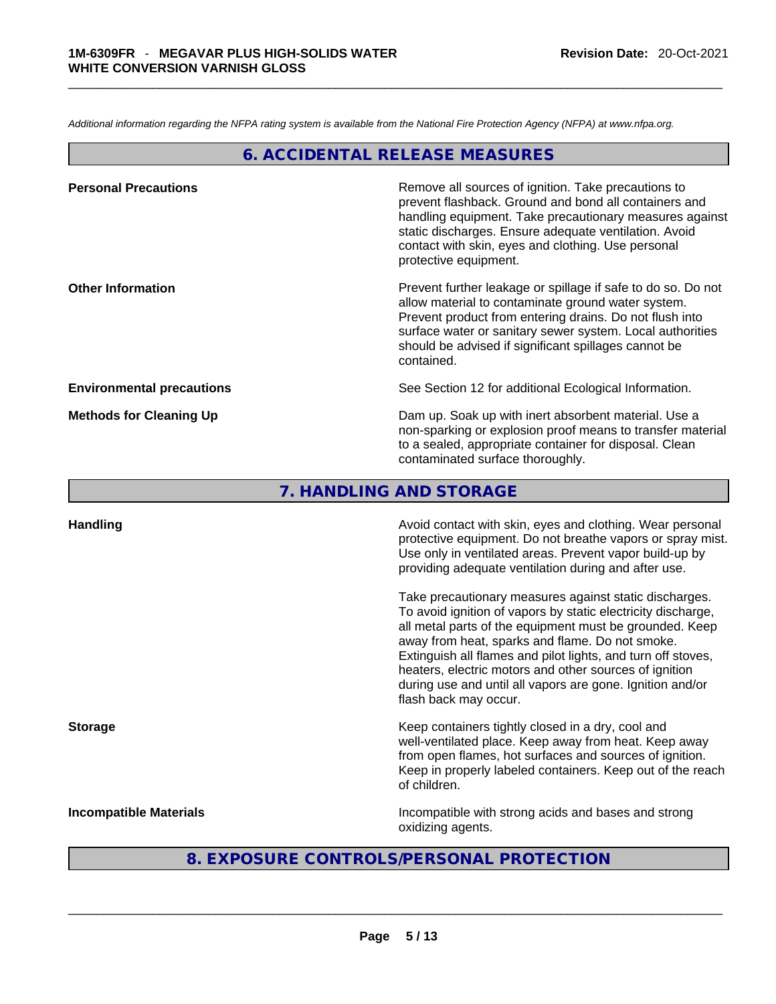*Additional information regarding the NFPA rating system is available from the National Fire Protection Agency (NFPA) at www.nfpa.org.* 

# **6. ACCIDENTAL RELEASE MEASURES**

| <b>Personal Precautions</b>      | Remove all sources of ignition. Take precautions to<br>prevent flashback. Ground and bond all containers and<br>handling equipment. Take precautionary measures against<br>static discharges. Ensure adequate ventilation. Avoid<br>contact with skin, eyes and clothing. Use personal<br>protective equipment.  |
|----------------------------------|------------------------------------------------------------------------------------------------------------------------------------------------------------------------------------------------------------------------------------------------------------------------------------------------------------------|
| <b>Other Information</b>         | Prevent further leakage or spillage if safe to do so. Do not<br>allow material to contaminate ground water system.<br>Prevent product from entering drains. Do not flush into<br>surface water or sanitary sewer system. Local authorities<br>should be advised if significant spillages cannot be<br>contained. |
| <b>Environmental precautions</b> | See Section 12 for additional Ecological Information.                                                                                                                                                                                                                                                            |
| <b>Methods for Cleaning Up</b>   | Dam up. Soak up with inert absorbent material. Use a<br>non-sparking or explosion proof means to transfer material<br>to a sealed, appropriate container for disposal. Clean<br>contaminated surface thoroughly.                                                                                                 |

**7. HANDLING AND STORAGE** 

| <b>Handling</b>               | Avoid contact with skin, eyes and clothing. Wear personal<br>protective equipment. Do not breathe vapors or spray mist.<br>Use only in ventilated areas. Prevent vapor build-up by<br>providing adequate ventilation during and after use.                                                                                                                                                                                                           |
|-------------------------------|------------------------------------------------------------------------------------------------------------------------------------------------------------------------------------------------------------------------------------------------------------------------------------------------------------------------------------------------------------------------------------------------------------------------------------------------------|
|                               | Take precautionary measures against static discharges.<br>To avoid ignition of vapors by static electricity discharge,<br>all metal parts of the equipment must be grounded. Keep<br>away from heat, sparks and flame. Do not smoke.<br>Extinguish all flames and pilot lights, and turn off stoves,<br>heaters, electric motors and other sources of ignition<br>during use and until all vapors are gone. Ignition and/or<br>flash back may occur. |
| <b>Storage</b>                | Keep containers tightly closed in a dry, cool and<br>well-ventilated place. Keep away from heat. Keep away<br>from open flames, hot surfaces and sources of ignition.<br>Keep in properly labeled containers. Keep out of the reach<br>of children.                                                                                                                                                                                                  |
| <b>Incompatible Materials</b> | Incompatible with strong acids and bases and strong<br>oxidizing agents.                                                                                                                                                                                                                                                                                                                                                                             |

# **8. EXPOSURE CONTROLS/PERSONAL PROTECTION**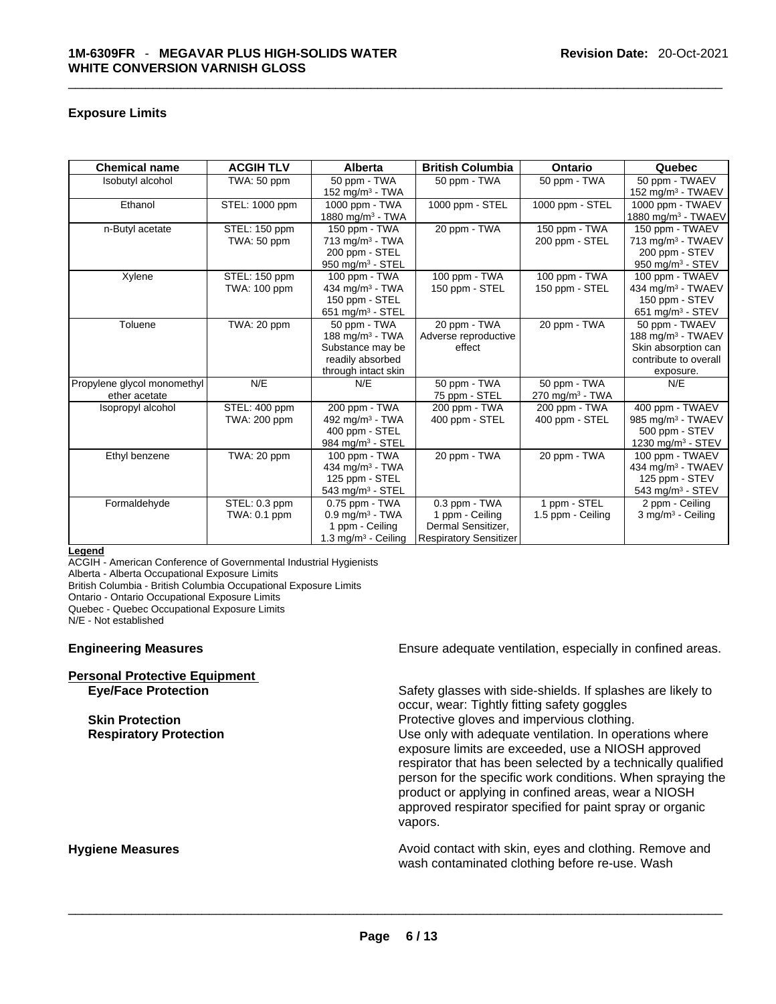#### **Exposure Limits**

| <b>Chemical name</b>                         | <b>ACGIH TLV</b>                     | Alberta                                                                                                 | <b>British Columbia</b>                                                                 | Ontario                                       | Quebec                                                                                                       |
|----------------------------------------------|--------------------------------------|---------------------------------------------------------------------------------------------------------|-----------------------------------------------------------------------------------------|-----------------------------------------------|--------------------------------------------------------------------------------------------------------------|
| Isobutyl alcohol                             | TWA: 50 ppm                          | 50 ppm - TWA<br>152 mg/m $3$ - TWA                                                                      | 50 ppm - TWA                                                                            | 50 ppm - TWA                                  | 50 ppm - TWAEV<br>152 mg/m $3$ - TWAEV                                                                       |
| Ethanol                                      | STEL: 1000 ppm                       | 1000 ppm - TWA<br>1880 mg/m <sup>3</sup> - TWA                                                          | 1000 ppm - STEL                                                                         | 1000 ppm - STEL                               | 1000 ppm - TWAEV<br>1880 mg/m <sup>3</sup> - TWAEV                                                           |
| n-Butyl acetate                              | STEL: 150 ppm<br>TWA: 50 ppm         | 150 ppm - TWA<br>$713$ mg/m <sup>3</sup> - TWA<br>200 ppm - STEL<br>950 mg/m <sup>3</sup> - STEL        | 20 ppm - TWA                                                                            | 150 ppm - $TWA$<br>200 ppm - STEL             | 150 ppm - TWAEV<br>713 mg/m <sup>3</sup> - TWAEV<br>200 ppm - STEV<br>950 mg/m <sup>3</sup> - STEV           |
| Xylene                                       | STEL: 150 ppm<br><b>TWA: 100 ppm</b> | 100 ppm - TWA<br>434 mg/m <sup>3</sup> - TWA<br>150 ppm - STEL<br>651 mg/m $3 -$ STEL                   | 100 ppm - TWA<br>150 ppm - STEL                                                         | 100 ppm - $TWA$<br>150 ppm - STEL             | 100 ppm - TWAEV<br>434 mg/m <sup>3</sup> - TWAEV<br>150 ppm - STEV<br>651 mg/m $3 -$ STEV                    |
| Toluene                                      | TWA: 20 ppm                          | 50 ppm - TWA<br>188 mg/m $3$ - TWA<br>Substance may be<br>readily absorbed<br>through intact skin       | 20 ppm - TWA<br>Adverse reproductive<br>effect                                          | 20 ppm - TWA                                  | 50 ppm - TWAEV<br>188 mg/m <sup>3</sup> - TWAEV<br>Skin absorption can<br>contribute to overall<br>exposure. |
| Propylene glycol monomethyl<br>ether acetate | N/E                                  | N/E                                                                                                     | 50 ppm - TWA<br>75 ppm - STEL                                                           | 50 ppm - TWA<br>$270$ mg/m <sup>3</sup> - TWA | N/E                                                                                                          |
| Isopropyl alcohol                            | STEL: 400 ppm<br>TWA: 200 ppm        | 200 ppm - TWA<br>492 mg/m <sup>3</sup> - TWA<br>400 ppm - STEL<br>984 mg/m <sup>3</sup> - STEL          | 200 ppm - TWA<br>400 ppm - STEL                                                         | 200 ppm - TWA<br>400 ppm - STEL               | 400 ppm - TWAEV<br>985 mg/m <sup>3</sup> - TWAEV<br>500 ppm - STEV<br>1230 mg/m <sup>3</sup> - STEV          |
| Ethyl benzene                                | TWA: 20 ppm                          | 100 ppm - TWA<br>434 mg/m <sup>3</sup> - TWA<br>125 ppm - STEL<br>$543$ mg/m <sup>3</sup> - STEL        | 20 ppm - TWA                                                                            | 20 ppm - TWA                                  | 100 ppm - TWAEV<br>434 mg/m <sup>3</sup> - TWAEV<br>125 ppm - STEV<br>543 mg/m $3 -$ STEV                    |
| Formaldehyde                                 | STEL: 0.3 ppm<br>TWA: 0.1 ppm        | $0.75$ ppm - TWA<br>$0.9$ mg/m <sup>3</sup> - TWA<br>1 ppm - Ceiling<br>1.3 mg/m <sup>3</sup> - Ceiling | 0.3 ppm - TWA<br>1 ppm - Ceiling<br>Dermal Sensitizer,<br><b>Respiratory Sensitizer</b> | 1 ppm - STEL<br>1.5 ppm - Ceiling             | 2 ppm - Ceiling<br>$3$ mg/m <sup>3</sup> - Ceiling                                                           |

**Legend**

ACGIH - American Conference of Governmental Industrial Hygienists

Alberta - Alberta Occupational Exposure Limits

British Columbia - British Columbia Occupational Exposure Limits

Ontario - Ontario Occupational Exposure Limits

Quebec - Quebec Occupational Exposure Limits

N/E - Not established

| <b>Personal Protective Equipment</b> |  |
|--------------------------------------|--|
| <b>Eve/Face Protection</b>           |  |

**Engineering Measures Ensure adequate ventilation, especially in confined areas.** 

**Eye/Face Protection** Safety glasses with side-shields. If splashes are likely to occur, wear: Tightly fitting safety goggles **Skin Protection Protection Protective gloves and impervious clothing. Respiratory Protection Exercise 2018** Use only with adequate ventilation. In operations where exposure limits are exceeded, use a NIOSH approved respirator that has been selected by a technically qualified person for the specific work conditions. When spraying the product or applying in confined areas, wear a NIOSH approved respirator specified for paint spray or organic vapors.

**Hygiene Measures Avoid contact with skin, eyes and clothing. Remove and Avoid contact with skin, eyes and clothing. Remove and Avoid contact with skin, eyes and clothing. Remove and** wash contaminated clothing before re-use. Wash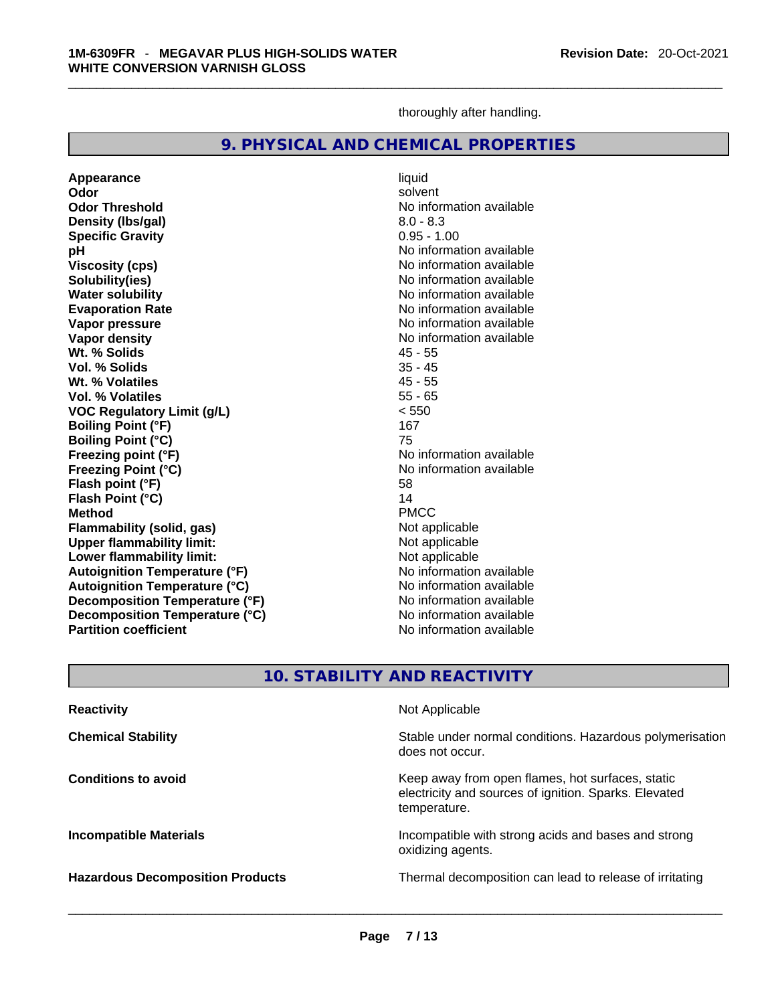thoroughly after handling.

### **9. PHYSICAL AND CHEMICAL PROPERTIES**

**Appearance** liquid **Odor** solvent **Odor Threshold** No information available **Density (lbs/gal)** 8.0 - 8.3 **Specific Gravity** 0.95 - 1.00 **pH pH** *pH* **Viscosity (cps) No information available No information available Solubility(ies)** No information available **Water solubility**<br> **Evaporation Rate**<br> **Evaporation Rate**<br> **Evaporation Rate Vapor pressure**  No information available **No information** available **Vapor density**<br> **With the Solids**<br>
With the Solids **No** information available<br>
45 - 55 **Wt. % Solids** 45 - 55 **Vol. % Solids Wt. % Volatiles** 45 - 55 **Vol. % Volatiles VOC Regulatory Limit (g/L)** < 550 **Boiling Point (°F)** 167<br> **Boiling Point (°C)** 167 **Boiling Point (°C) Freezing point (°F)** The state of the state of the Noinformation available **Freezing Point (°C)**<br> **Flash noint (°F)**<br> **Flash noint (°F)**<br> **Flash noint (°F)**<br> **Flash noint (°F) Flash point (°F) Flash Point (°C)** 14 **Method** PMCC **Flammability (solid, gas)** Not applicable **Upper flammability limit:** Not applicable **Lower flammability limit:**<br> **Autoignition Temperature (°F)** Not applicable havailable available **Autoignition Temperature (°F) Autoignition Temperature (°C)**<br> **Decomposition Temperature (°F)** No information available **Decomposition Temperature (°F)** No information available<br> **Decomposition Temperature (°C)** No information available **Decomposition Temperature (°C) Partition coefficient** No information available

**Evaporation Rate** No information available

# **10. STABILITY AND REACTIVITY**

| <b>Reactivity</b>                       | Not Applicable                                                                                                            |
|-----------------------------------------|---------------------------------------------------------------------------------------------------------------------------|
| <b>Chemical Stability</b>               | Stable under normal conditions. Hazardous polymerisation<br>does not occur.                                               |
| <b>Conditions to avoid</b>              | Keep away from open flames, hot surfaces, static<br>electricity and sources of ignition. Sparks. Elevated<br>temperature. |
| <b>Incompatible Materials</b>           | Incompatible with strong acids and bases and strong<br>oxidizing agents.                                                  |
| <b>Hazardous Decomposition Products</b> | Thermal decomposition can lead to release of irritating                                                                   |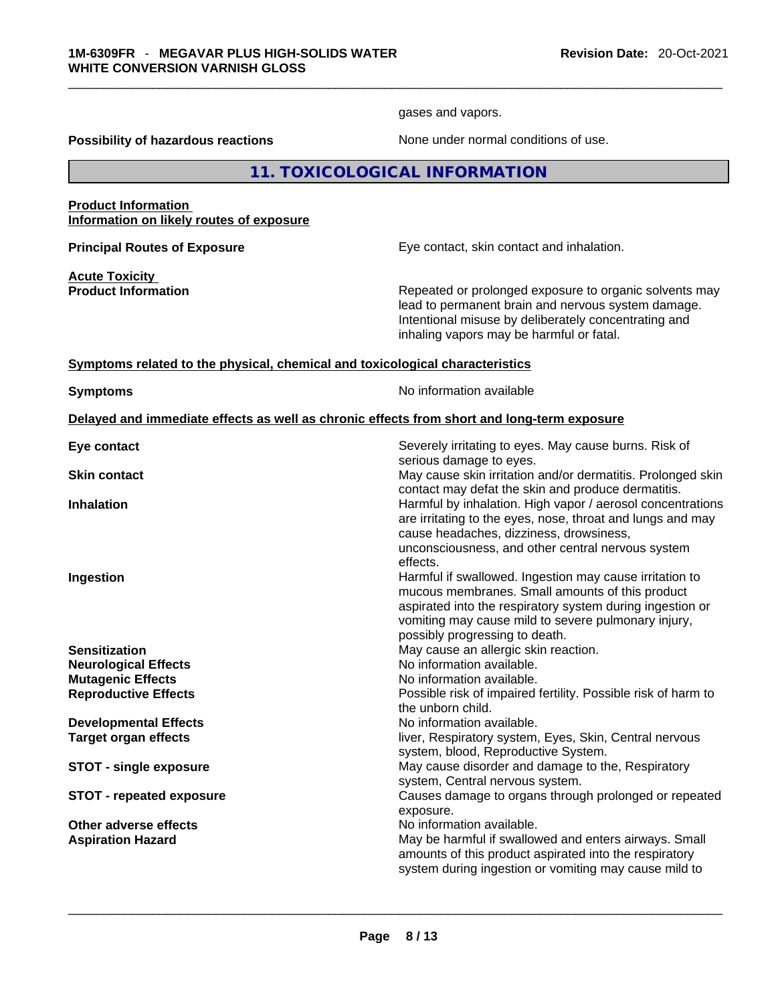gases and vapors.

**Possibility of hazardous reactions** None under normal conditions of use.

**11. TOXICOLOGICAL INFORMATION** 

#### **Product Information Information on likely routes of exposure**

**Principal Routes of Exposure Exposure** Eye contact, skin contact and inhalation.

**Acute Toxicity** 

**Product Information Repeated or prolonged exposure to organic solvents may** lead to permanent brain and nervous system damage. Intentional misuse by deliberately concentrating and inhaling vapors may be harmful or fatal.

#### **Symptoms related to the physical,chemical and toxicological characteristics**

**Symptoms No information available** 

#### **Delayed and immediate effects as well as chronic effects from short and long-term exposure**

| Eye contact                     | Severely irritating to eyes. May cause burns. Risk of<br>serious damage to eyes.                                                                                                                                                                                 |
|---------------------------------|------------------------------------------------------------------------------------------------------------------------------------------------------------------------------------------------------------------------------------------------------------------|
| <b>Skin contact</b>             | May cause skin irritation and/or dermatitis. Prolonged skin<br>contact may defat the skin and produce dermatitis.                                                                                                                                                |
| <b>Inhalation</b>               | Harmful by inhalation. High vapor / aerosol concentrations<br>are irritating to the eyes, nose, throat and lungs and may<br>cause headaches, dizziness, drowsiness,<br>unconsciousness, and other central nervous system<br>effects.                             |
| Ingestion                       | Harmful if swallowed. Ingestion may cause irritation to<br>mucous membranes. Small amounts of this product<br>aspirated into the respiratory system during ingestion or<br>vomiting may cause mild to severe pulmonary injury,<br>possibly progressing to death. |
| <b>Sensitization</b>            | May cause an allergic skin reaction.                                                                                                                                                                                                                             |
| <b>Neurological Effects</b>     | No information available.                                                                                                                                                                                                                                        |
| <b>Mutagenic Effects</b>        | No information available.                                                                                                                                                                                                                                        |
| <b>Reproductive Effects</b>     | Possible risk of impaired fertility. Possible risk of harm to<br>the unborn child.                                                                                                                                                                               |
| <b>Developmental Effects</b>    | No information available.                                                                                                                                                                                                                                        |
| <b>Target organ effects</b>     | liver, Respiratory system, Eyes, Skin, Central nervous<br>system, blood, Reproductive System.                                                                                                                                                                    |
| <b>STOT - single exposure</b>   | May cause disorder and damage to the, Respiratory<br>system, Central nervous system.                                                                                                                                                                             |
| <b>STOT - repeated exposure</b> | Causes damage to organs through prolonged or repeated<br>exposure.                                                                                                                                                                                               |
| Other adverse effects           | No information available.                                                                                                                                                                                                                                        |
| <b>Aspiration Hazard</b>        | May be harmful if swallowed and enters airways. Small<br>amounts of this product aspirated into the respiratory<br>system during ingestion or vomiting may cause mild to                                                                                         |
|                                 |                                                                                                                                                                                                                                                                  |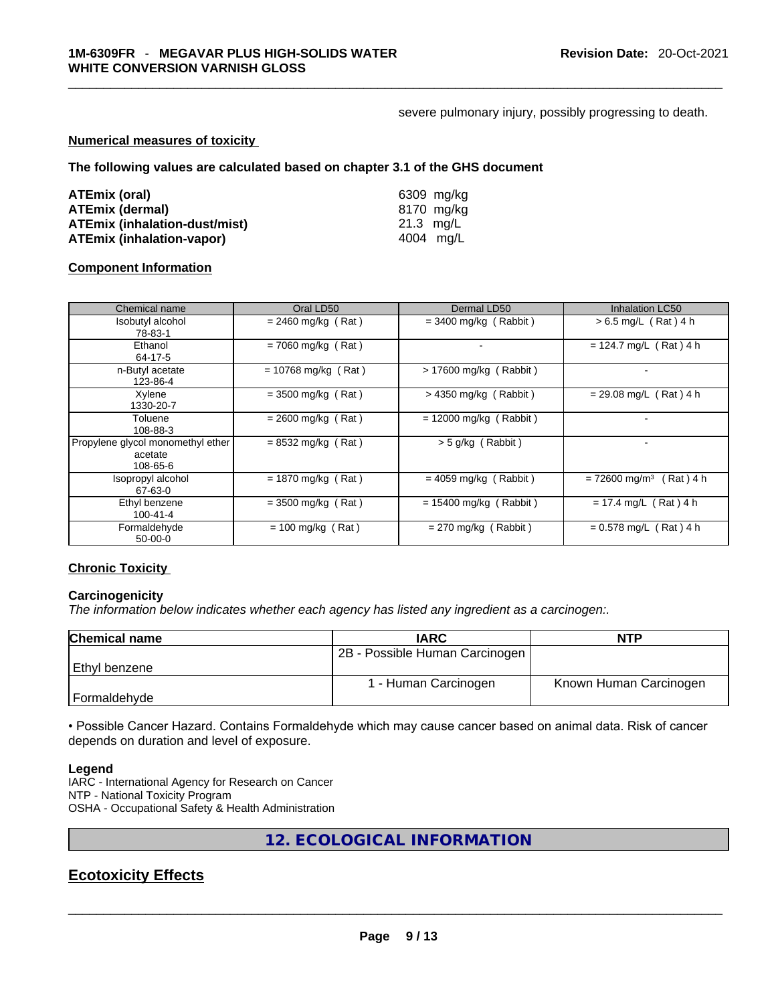#### severe pulmonary injury, possibly progressing to death.

#### **Numerical measures of toxicity**

**The following values are calculated based on chapter 3.1 of the GHS document**

| ATEmix (oral)                        | 6309 mg/ka |
|--------------------------------------|------------|
| <b>ATEmix (dermal)</b>               | 8170 mg/kg |
| <b>ATEmix (inhalation-dust/mist)</b> | 21.3 ma/L  |
| <b>ATEmix (inhalation-vapor)</b>     | 4004 mg/L  |

#### **Component Information**

| Chemical name                                            | Oral LD50             | Dermal LD50              | <b>Inhalation LC50</b>                   |
|----------------------------------------------------------|-----------------------|--------------------------|------------------------------------------|
| Isobutyl alcohol<br>78-83-1                              | $= 2460$ mg/kg (Rat)  | $=$ 3400 mg/kg (Rabbit)  | $> 6.5$ mg/L (Rat) 4 h                   |
| Ethanol<br>64-17-5                                       | $= 7060$ mg/kg (Rat)  |                          | $= 124.7$ mg/L (Rat) 4 h                 |
| n-Butyl acetate<br>123-86-4                              | $= 10768$ mg/kg (Rat) | $> 17600$ mg/kg (Rabbit) |                                          |
| Xylene<br>1330-20-7                                      | $=$ 3500 mg/kg (Rat)  | $>$ 4350 mg/kg (Rabbit)  | $= 29.08$ mg/L (Rat) 4 h                 |
| Toluene<br>108-88-3                                      | $= 2600$ mg/kg (Rat)  | $= 12000$ mg/kg (Rabbit) |                                          |
| Propylene glycol monomethyl ether<br>acetate<br>108-65-6 | $= 8532$ mg/kg (Rat)  | $>$ 5 g/kg (Rabbit)      |                                          |
| Isopropyl alcohol<br>67-63-0                             | $= 1870$ mg/kg (Rat)  | $= 4059$ mg/kg (Rabbit)  | Rat ) 4 h<br>$= 72600$ mg/m <sup>3</sup> |
| Ethyl benzene<br>100-41-4                                | $=$ 3500 mg/kg (Rat)  | $= 15400$ mg/kg (Rabbit) | $= 17.4$ mg/L (Rat) 4 h                  |
| Formaldehyde<br>$50 - 00 - 0$                            | $= 100$ mg/kg (Rat)   | $= 270$ mg/kg (Rabbit)   | $= 0.578$ mg/L (Rat) 4 h                 |

# **Chronic Toxicity**

#### **Carcinogenicity**

*The information below indicates whether each agency has listed any ingredient as a carcinogen:.* 

| <b>Chemical name</b> | <b>IARC</b>                    | <b>NTP</b>             |
|----------------------|--------------------------------|------------------------|
|                      | 2B - Possible Human Carcinogen |                        |
| Ethyl benzene        |                                |                        |
|                      | 1 - Human Carcinogen           | Known Human Carcinogen |
| Formaldehyde         |                                |                        |

• Possible Cancer Hazard. Contains Formaldehyde which may cause cancer based on animal data. Risk of cancer depends on duration and level of exposure.

#### **Legend**

IARC - International Agency for Research on Cancer NTP - National Toxicity Program OSHA - Occupational Safety & Health Administration

**12. ECOLOGICAL INFORMATION** 

# **Ecotoxicity Effects**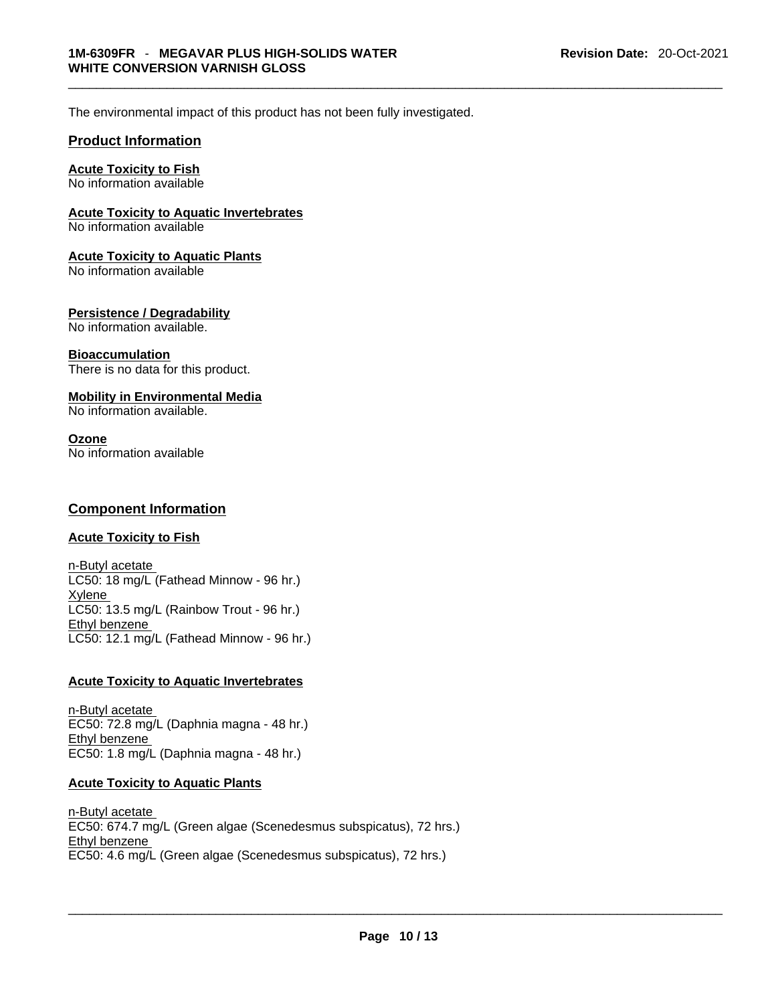The environmental impact of this product has not been fully investigated.

#### **Product Information**

#### **Acute Toxicity to Fish**

No information available

#### **Acute Toxicity to Aquatic Invertebrates**

No information available

#### **Acute Toxicity to Aquatic Plants**

No information available

### **Persistence / Degradability**

No information available.

#### **Bioaccumulation**

There is no data for this product.

#### **Mobility in Environmental Media**

No information available.

#### **Ozone**

No information available

#### **Component Information**

#### **Acute Toxicity to Fish**

n-Butyl acetate LC50: 18 mg/L (Fathead Minnow - 96 hr.) Xylene LC50: 13.5 mg/L (Rainbow Trout - 96 hr.) Ethyl benzene LC50: 12.1 mg/L (Fathead Minnow - 96 hr.)

#### **Acute Toxicity to Aquatic Invertebrates**

n-Butyl acetate EC50: 72.8 mg/L (Daphnia magna - 48 hr.) Ethyl benzene EC50: 1.8 mg/L (Daphnia magna - 48 hr.)

#### **Acute Toxicity to Aquatic Plants**

n-Butyl acetate EC50: 674.7 mg/L (Green algae (Scenedesmus subspicatus), 72 hrs.) Ethyl benzene EC50: 4.6 mg/L (Green algae (Scenedesmus subspicatus), 72 hrs.)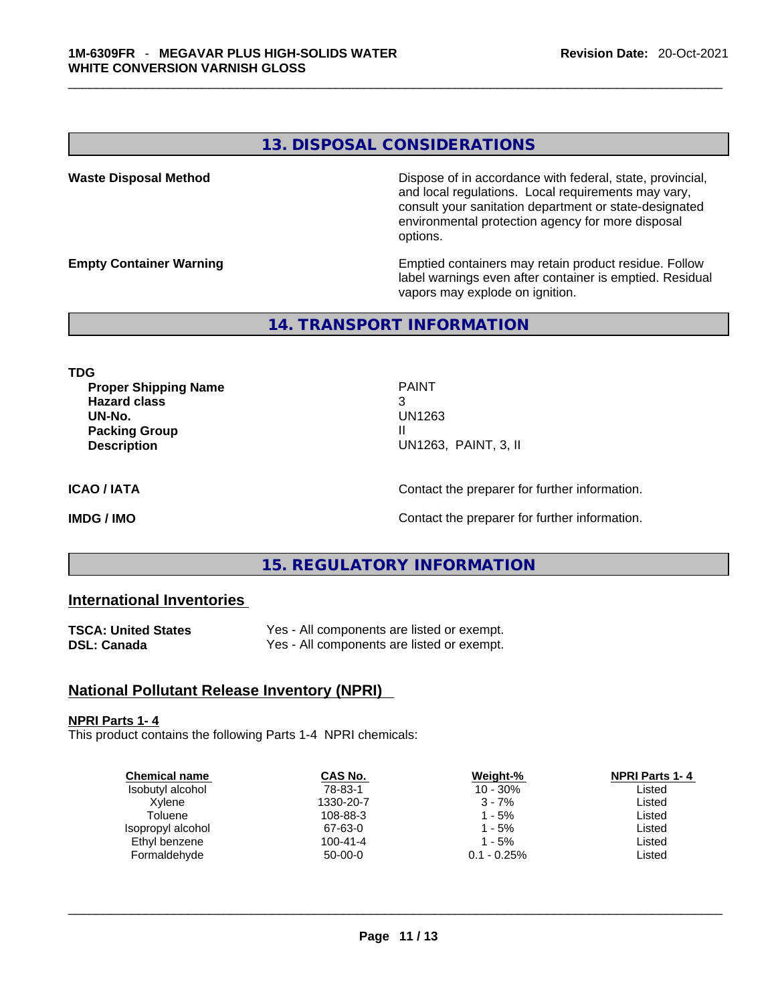### **13. DISPOSAL CONSIDERATIONS**

**Waste Disposal Method** Dispose of in accordance with federal, state, provincial, and local regulations. Local requirements may vary, consult your sanitation department or state-designated environmental protection agency for more disposal options.

**Empty Container Warning <b>Emptied** Containers may retain product residue. Follow label warnings even after container is emptied. Residual vapors may explode on ignition.

# **14. TRANSPORT INFORMATION**

**TDG** 

**Proper Shipping Name** PAINT **Hazard class** 3 **UN-No.** UN1263 **Packing Group III Description** UN1263, PAINT, 3, II

**ICAO / IATA ICAO / IATA Contact the preparer for further information.** 

**IMDG / IMO Contact the preparer for further information.** 

# **15. REGULATORY INFORMATION**

### **International Inventories**

| <b>TSCA: United States</b> | Yes - All components are listed or exempt. |
|----------------------------|--------------------------------------------|
| <b>DSL: Canada</b>         | Yes - All components are listed or exempt. |

### **National Pollutant Release Inventory (NPRI)**

#### **NPRI Parts 1- 4**

This product contains the following Parts 1-4 NPRI chemicals:

| Weight-%       | <b>NPRI Parts 1-4</b> |
|----------------|-----------------------|
| $10 - 30\%$    | Listed                |
| $3 - 7%$       | Listed                |
| 1 - 5%         | Listed                |
| 1 - 5%         | Listed                |
| $1 - 5%$       | Listed                |
| $0.1 - 0.25\%$ | Listed                |
|                |                       |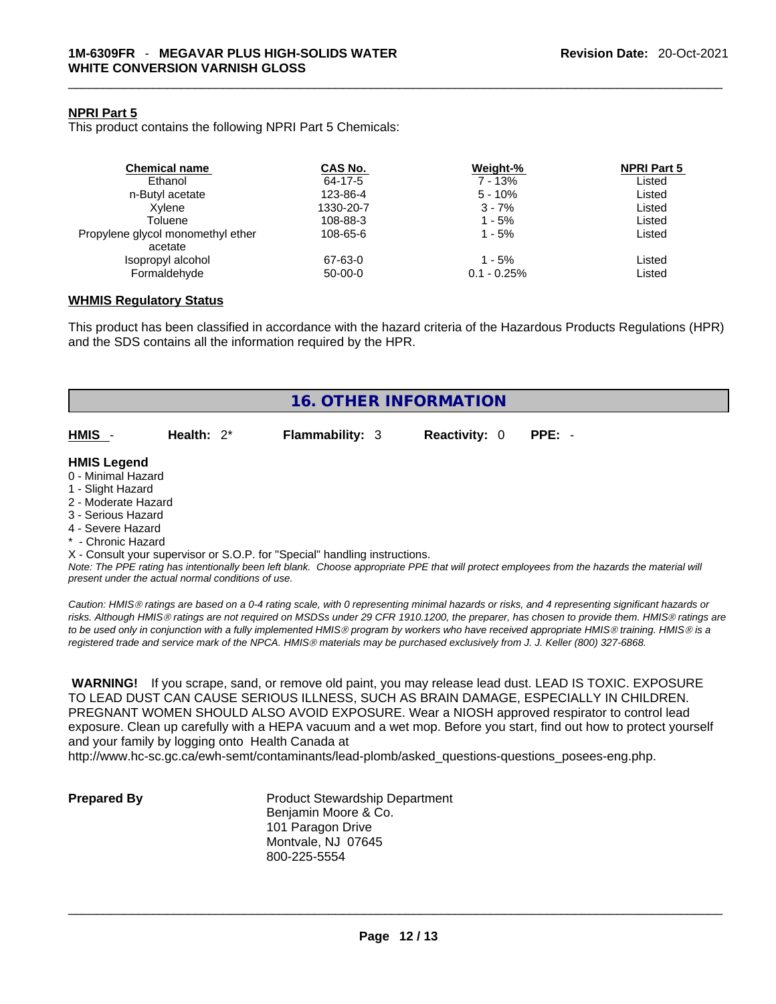#### **NPRI Part 5**

This product contains the following NPRI Part 5 Chemicals:

| <b>Chemical name</b>              | CAS No.   | Weight-%      | <b>NPRI Part 5</b> |  |
|-----------------------------------|-----------|---------------|--------------------|--|
| Ethanol                           | 64-17-5   | 7 - 13%       | Listed             |  |
| n-Butyl acetate                   | 123-86-4  | $5 - 10%$     | Listed             |  |
| Xvlene                            | 1330-20-7 | $3 - 7%$      | Listed             |  |
| Toluene                           | 108-88-3  | 1 - 5%        | Listed             |  |
| Propylene glycol monomethyl ether | 108-65-6  | 1 - 5%        | Listed             |  |
| acetate                           |           |               |                    |  |
| Isopropyl alcohol                 | 67-63-0   | 1 - 5%        | Listed             |  |
| Formaldehyde                      | 50-00-0   | $0.1 - 0.25%$ | Listed             |  |

#### **WHMIS Regulatory Status**

This product has been classified in accordance with the hazard criteria of the Hazardous Products Regulations (HPR) and the SDS contains all the information required by the HPR.

| <b>16. OTHER INFORMATION</b>                                                                                                                                                                                                                                                              |                        |                      |                                                                                                                                               |
|-------------------------------------------------------------------------------------------------------------------------------------------------------------------------------------------------------------------------------------------------------------------------------------------|------------------------|----------------------|-----------------------------------------------------------------------------------------------------------------------------------------------|
| HMIS -<br>Health: $2^*$                                                                                                                                                                                                                                                                   | <b>Flammability: 3</b> | <b>Reactivity: 0</b> | $PPE: -$                                                                                                                                      |
| <b>HMIS Legend</b><br>0 - Minimal Hazard<br>1 - Slight Hazard<br>2 - Moderate Hazard<br>3 - Serious Hazard<br>4 - Severe Hazard<br>* - Chronic Hazard<br>X - Consult your supervisor or S.O.P. for "Special" handling instructions.<br>present under the actual normal conditions of use. |                        |                      | Note: The PPE rating has intentionally been left blank. Choose appropriate PPE that will protect employees from the hazards the material will |

*Caution: HMISÒ ratings are based on a 0-4 rating scale, with 0 representing minimal hazards or risks, and 4 representing significant hazards or risks. Although HMISÒ ratings are not required on MSDSs under 29 CFR 1910.1200, the preparer, has chosen to provide them. HMISÒ ratings are to be used only in conjunction with a fully implemented HMISÒ program by workers who have received appropriate HMISÒ training. HMISÒ is a registered trade and service mark of the NPCA. HMISÒ materials may be purchased exclusively from J. J. Keller (800) 327-6868.* 

 **WARNING!** If you scrape, sand, or remove old paint, you may release lead dust. LEAD IS TOXIC. EXPOSURE TO LEAD DUST CAN CAUSE SERIOUS ILLNESS, SUCH AS BRAIN DAMAGE, ESPECIALLY IN CHILDREN. PREGNANT WOMEN SHOULD ALSO AVOID EXPOSURE.Wear a NIOSH approved respirator to control lead exposure. Clean up carefully with a HEPA vacuum and a wet mop. Before you start, find out how to protect yourself and your family by logging onto Health Canada at

http://www.hc-sc.gc.ca/ewh-semt/contaminants/lead-plomb/asked\_questions-questions\_posees-eng.php.

**Prepared By Product Stewardship Department** Benjamin Moore & Co. 101 Paragon Drive Montvale, NJ 07645 800-225-5554